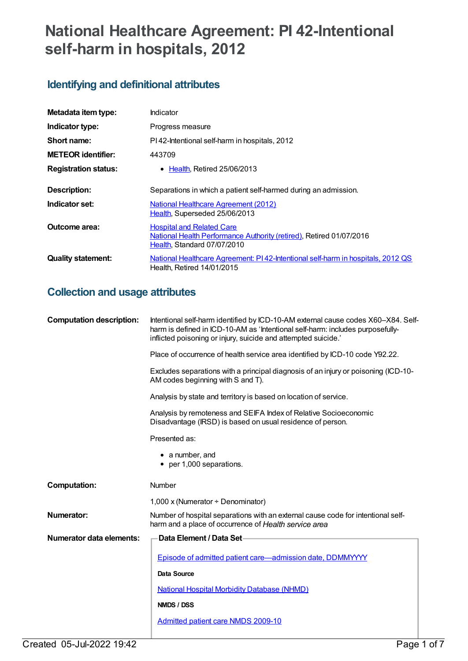# **National Healthcare Agreement: PI 42-Intentional self-harm in hospitals, 2012**

## **Identifying and definitional attributes**

| Metadata item type:         | Indicator                                                                                                                              |
|-----------------------------|----------------------------------------------------------------------------------------------------------------------------------------|
| Indicator type:             | Progress measure                                                                                                                       |
| Short name:                 | PI42-Intentional self-harm in hospitals, 2012                                                                                          |
| <b>METEOR</b> identifier:   | 443709                                                                                                                                 |
| <b>Registration status:</b> | • Health, Retired 25/06/2013                                                                                                           |
| Description:                | Separations in which a patient self-harmed during an admission.                                                                        |
| Indicator set:              | National Healthcare Agreement (2012)<br>Health, Superseded 25/06/2013                                                                  |
| Outcome area:               | <b>Hospital and Related Care</b><br>National Health Performance Authority (retired), Retired 01/07/2016<br>Health, Standard 07/07/2010 |
| <b>Quality statement:</b>   | National Healthcare Agreement: PI42-Intentional self-harm in hospitals, 2012 QS<br>Health. Retired 14/01/2015                          |

## **Collection and usage attributes**

| <b>Computation description:</b> | Intentional self-harm identified by ICD-10-AM external cause codes X60-X84. Self-<br>harm is defined in ICD-10-AM as 'Intentional self-harm: includes purposefully-<br>inflicted poisoning or injury, suicide and attempted suicide.' |  |
|---------------------------------|---------------------------------------------------------------------------------------------------------------------------------------------------------------------------------------------------------------------------------------|--|
|                                 | Place of occurrence of health service area identified by ICD-10 code Y92.22.                                                                                                                                                          |  |
|                                 | Excludes separations with a principal diagnosis of an injury or poisoning (ICD-10-<br>AM codes beginning with S and T).                                                                                                               |  |
|                                 | Analysis by state and territory is based on location of service.                                                                                                                                                                      |  |
|                                 | Analysis by remoteness and SEIFA Index of Relative Socioeconomic<br>Disadvantage (IRSD) is based on usual residence of person.                                                                                                        |  |
|                                 | Presented as:                                                                                                                                                                                                                         |  |
|                                 | • a number, and<br>• per 1,000 separations.                                                                                                                                                                                           |  |
| <b>Computation:</b>             | Number                                                                                                                                                                                                                                |  |
|                                 | 1,000 x (Numerator $\div$ Denominator)                                                                                                                                                                                                |  |
| Numerator:                      | Number of hospital separations with an external cause code for intentional self-<br>harm and a place of occurrence of Health service area                                                                                             |  |
| Numerator data elements:        | <b>Data Element / Data Set-</b>                                                                                                                                                                                                       |  |
|                                 | Episode of admitted patient care—admission date, DDMMYYYY                                                                                                                                                                             |  |
|                                 | <b>Data Source</b>                                                                                                                                                                                                                    |  |
|                                 | <b>National Hospital Morbidity Database (NHMD)</b>                                                                                                                                                                                    |  |
|                                 | NMDS / DSS                                                                                                                                                                                                                            |  |
|                                 | <b>Admitted patient care NMDS 2009-10</b>                                                                                                                                                                                             |  |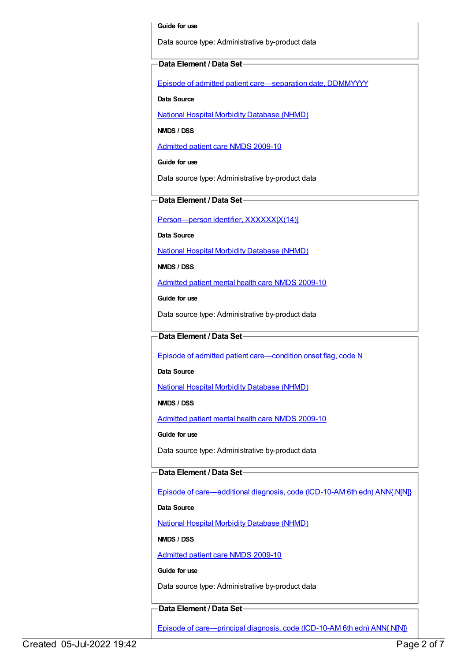#### **Guide for use**

Data source type: Administrative by-product data

#### **Data Element / Data Set**

Episode of admitted patient [care—separation](https://meteor.aihw.gov.au/content/270025) date, DDMMYYYY

**Data Source**

National Hospital Morbidity [Database](https://meteor.aihw.gov.au/content/394352) (NHMD)

**NMDS / DSS**

[Admitted](https://meteor.aihw.gov.au/content/374205) patient care NMDS 2009-10

**Guide for use**

Data source type: Administrative by-product data

**Data Element / Data Set**

[Person—person](https://meteor.aihw.gov.au/content/290046) identifier, XXXXXX[X(14)]

**Data Source**

National Hospital Morbidity [Database](https://meteor.aihw.gov.au/content/394352) (NHMD)

**NMDS / DSS**

[Admitted](https://meteor.aihw.gov.au/content/374207) patient mental health care NMDS 2009-10

**Guide for use**

Data source type: Administrative by-product data

#### **Data Element / Data Set**

Episode of admitted patient [care—condition](https://meteor.aihw.gov.au/content/354816) onset flag, code N

**Data Source**

National Hospital Morbidity [Database](https://meteor.aihw.gov.au/content/394352) (NHMD)

**NMDS / DSS**

[Admitted](https://meteor.aihw.gov.au/content/374207) patient mental health care NMDS 2009-10

**Guide for use**

Data source type: Administrative by-product data

### **Data Element / Data Set**

Episode of [care—additional](https://meteor.aihw.gov.au/content/356587) diagnosis, code (ICD-10-AM 6th edn) ANN{.N[N]}

**Data Source**

National Hospital Morbidity [Database](https://meteor.aihw.gov.au/content/394352) (NHMD)

**NMDS / DSS**

[Admitted](https://meteor.aihw.gov.au/content/374205) patient care NMDS 2009-10

#### **Guide for use**

Data source type: Administrative by-product data

#### **Data Element / Data Set**

Episode of [care—principal](https://meteor.aihw.gov.au/content/361034) diagnosis, code (ICD-10-AM 6th edn) ANN{.N[N]}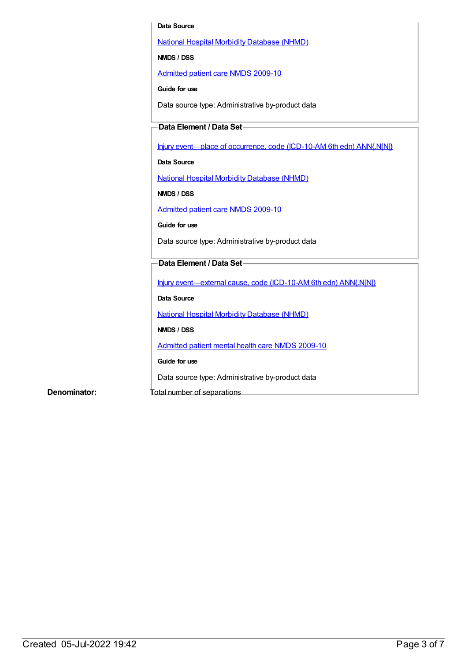#### **Data Source**

National Hospital Morbidity [Database](https://meteor.aihw.gov.au/content/394352) (NHMD)

**NMDS / DSS**

[Admitted](https://meteor.aihw.gov.au/content/374205) patient care NMDS 2009-10

**Guide for use**

Data source type: Administrative by-product data

## **Data Element / Data Set**

Injury [event—place](https://meteor.aihw.gov.au/content/361677) of occurrence, code (ICD-10-AM 6th edn) ANN{.N[N]}

**Data Source**

National Hospital Morbidity [Database](https://meteor.aihw.gov.au/content/394352) (NHMD)

**NMDS / DSS**

[Admitted](https://meteor.aihw.gov.au/content/374205) patient care NMDS 2009-10

**Guide for use**

Data source type: Administrative by-product data

### **Data Element / Data Set**

Injury [event—external](https://meteor.aihw.gov.au/content/361926) cause, code (ICD-10-AM 6th edn) ANN{.N[N]}

**Data Source**

National Hospital Morbidity [Database](https://meteor.aihw.gov.au/content/394352) (NHMD)

**NMDS / DSS**

[Admitted](https://meteor.aihw.gov.au/content/374207) patient mental health care NMDS 2009-10

**Guide for use**

Data source type: Administrative by-product data

**Denominator:** Total number of separations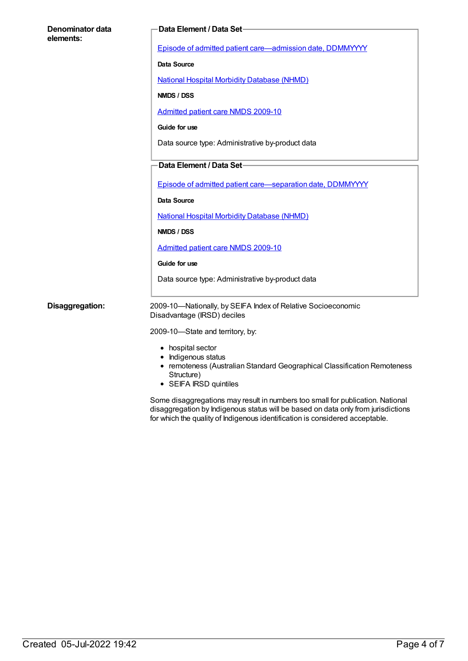| Denominator data<br>elements: | Data Element / Data Set-                                                                                                                                     |  |
|-------------------------------|--------------------------------------------------------------------------------------------------------------------------------------------------------------|--|
|                               | Episode of admitted patient care-admission date, DDMMYYYY                                                                                                    |  |
|                               | <b>Data Source</b>                                                                                                                                           |  |
|                               | <b>National Hospital Morbidity Database (NHMD)</b>                                                                                                           |  |
|                               | NMDS / DSS                                                                                                                                                   |  |
|                               | Admitted patient care NMDS 2009-10                                                                                                                           |  |
|                               | Guide for use                                                                                                                                                |  |
|                               | Data source type: Administrative by-product data                                                                                                             |  |
|                               | Data Element / Data Set-                                                                                                                                     |  |
|                               | Episode of admitted patient care-separation date, DDMMYYYY                                                                                                   |  |
|                               | <b>Data Source</b>                                                                                                                                           |  |
|                               | <b>National Hospital Morbidity Database (NHMD)</b>                                                                                                           |  |
|                               | NMDS / DSS                                                                                                                                                   |  |
|                               | <b>Admitted patient care NMDS 2009-10</b>                                                                                                                    |  |
|                               | Guide for use                                                                                                                                                |  |
|                               | Data source type: Administrative by-product data                                                                                                             |  |
| Disaggregation:               | 2009-10-Nationally, by SEIFA Index of Relative Socioeconomic<br>Disadvantage (IRSD) deciles                                                                  |  |
|                               | 2009-10-State and territory, by:                                                                                                                             |  |
|                               | • hospital sector<br>• Indigenous status<br>• remoteness (Australian Standard Geographical Classification Remoteness<br>Structure)<br>• SEIFA IRSD quintiles |  |

Some disaggregations may result in numbers too small for publication. National disaggregation by Indigenous status will be based on data only from jurisdictions for which the quality of Indigenous identification is considered acceptable.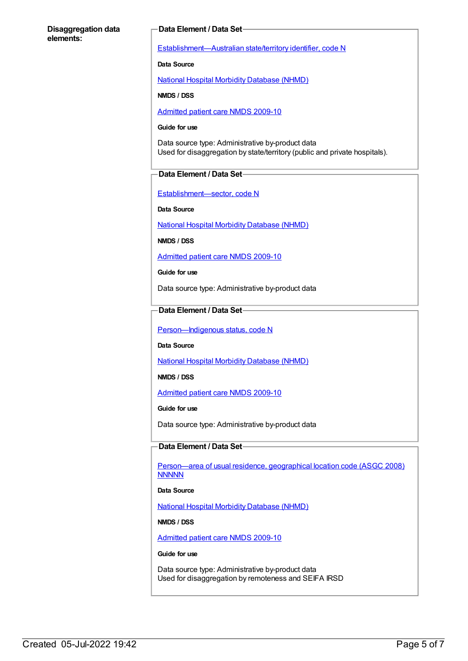#### **Disaggregation data elements:**

#### **Data Element / Data Set**

[Establishment—Australian](https://meteor.aihw.gov.au/content/269941) state/territory identifier, code N

**Data Source**

National Hospital Morbidity [Database](https://meteor.aihw.gov.au/content/394352) (NHMD)

**NMDS / DSS**

[Admitted](https://meteor.aihw.gov.au/content/374205) patient care NMDS 2009-10

#### **Guide for use**

Data source type: Administrative by-product data Used for disaggregation by state/territory (public and private hospitals).

#### **Data Element / Data Set**

[Establishment—sector,](https://meteor.aihw.gov.au/content/269977) code N

**Data Source**

National Hospital Morbidity [Database](https://meteor.aihw.gov.au/content/394352) (NHMD)

**NMDS / DSS**

[Admitted](https://meteor.aihw.gov.au/content/374205) patient care NMDS 2009-10

**Guide for use**

Data source type: Administrative by-product data

#### **Data Element / Data Set**

Person-Indigenous status, code N

**Data Source**

National Hospital Morbidity [Database](https://meteor.aihw.gov.au/content/394352) (NHMD)

**NMDS / DSS**

[Admitted](https://meteor.aihw.gov.au/content/374205) patient care NMDS 2009-10

**Guide for use**

Data source type: Administrative by-product data

#### **Data Element / Data Set**

[Person—area](https://meteor.aihw.gov.au/content/377103) of usual residence, geographical location code (ASGC 2008) **NNNNN** 

**Data Source**

National Hospital Morbidity [Database](https://meteor.aihw.gov.au/content/394352) (NHMD)

**NMDS / DSS**

[Admitted](https://meteor.aihw.gov.au/content/374205) patient care NMDS 2009-10

#### **Guide for use**

Data source type: Administrative by-product data Used for disaggregation by remoteness and SEIFA IRSD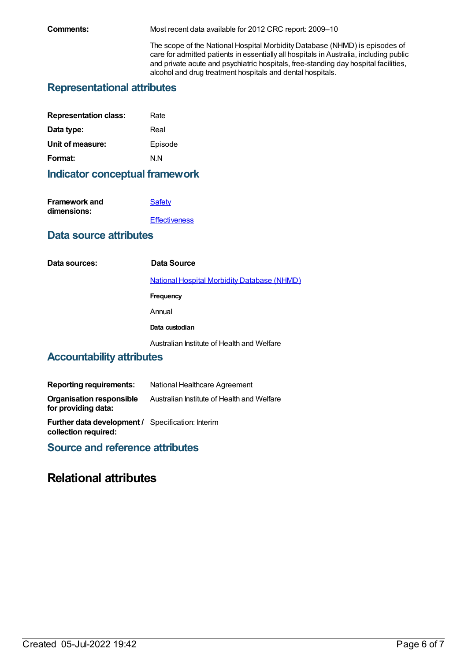**Comments:** Most recent data available for 2012 CRC report: 2009–10

The scope of the National Hospital Morbidity Database (NHMD) is episodes of care for admitted patients in essentially all hospitals in Australia, including public and private acute and psychiatric hospitals, free-standing day hospital facilities, alcohol and drug treatment hospitals and dental hospitals.

## **Representational attributes**

| Rate    |
|---------|
| Real    |
| Episode |
| N N     |
|         |

## **Indicator conceptual framework**

| Safety               |
|----------------------|
|                      |
| <b>Effectiveness</b> |
|                      |

## **Data source attributes**

| Data sources:             | Data Source                                        |  |
|---------------------------|----------------------------------------------------|--|
|                           | <b>National Hospital Morbidity Database (NHMD)</b> |  |
|                           | <b>Frequency</b>                                   |  |
|                           | Annual                                             |  |
|                           | Data custodian                                     |  |
|                           | Australian Institute of Health and Welfare         |  |
| Accountability attributes |                                                    |  |

## **Accountability attributes**

| <b>Reporting requirements:</b>                                                   | National Healthcare Agreement              |
|----------------------------------------------------------------------------------|--------------------------------------------|
| <b>Organisation responsible</b><br>for providing data:                           | Australian Institute of Health and Welfare |
| <b>Further data development / Specification: Interim</b><br>collection required: |                                            |

**Source and reference attributes**

## **Relational attributes**